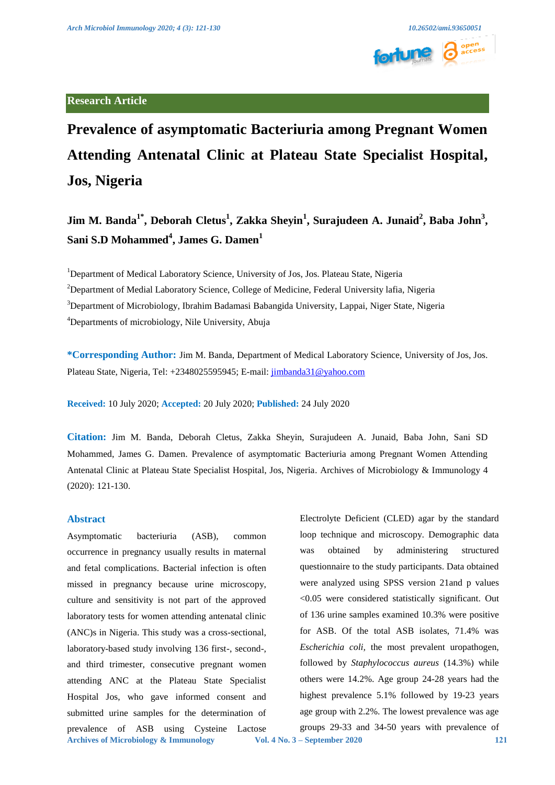

# **Research Article**

**Prevalence of asymptomatic Bacteriuria among Pregnant Women Attending Antenatal Clinic at Plateau State Specialist Hospital, Jos, Nigeria** 

**Jim M. Banda<sup>1\*</sup>, Deborah Cletus<sup>1</sup>, Zakka Sheyin<sup>1</sup>, Surajudeen A. Junaid<sup>2</sup>, Baba John<sup>3</sup>, Sani S.D Mohammed<sup>4</sup> , James G. Damen<sup>1</sup>**

<sup>1</sup>Department of Medical Laboratory Science, University of Jos, Jos. Plateau State, Nigeria <sup>2</sup>Department of Medial Laboratory Science, College of Medicine, Federal University lafia, Nigeria <sup>3</sup>Department of Microbiology, Ibrahim Badamasi Babangida University, Lappai, Niger State, Nigeria 4 Departments of microbiology, Nile University, Abuja

**\*Corresponding Author:** Jim M. Banda, Department of Medical Laboratory Science, University of Jos, Jos. Plateau State, Nigeria, Tel: +2348025595945; E-mail: [jimbanda31@yahoo.com](mailto:jimbanda31@yahoo.com)

**Received:** 10 July 2020; **Accepted:** 20 July 2020; **Published:** 24 July 2020

**Citation:** Jim M. Banda, Deborah Cletus, Zakka Sheyin, Surajudeen A. Junaid, Baba John, Sani SD Mohammed, James G. Damen. Prevalence of asymptomatic Bacteriuria among Pregnant Women Attending Antenatal Clinic at Plateau State Specialist Hospital, Jos, Nigeria. Archives of Microbiology & Immunology 4 (2020): 121-130.

# **Abstract**

**Archives of Microbiology & Immunology Vol. 4 No. 3 – September 2020 121** Asymptomatic bacteriuria (ASB), common occurrence in pregnancy usually results in maternal and fetal complications. Bacterial infection is often missed in pregnancy because urine microscopy, culture and sensitivity is not part of the approved laboratory tests for women attending antenatal clinic (ANC)s in Nigeria. This study was a cross-sectional, laboratory-based study involving 136 first-, second-, and third trimester, consecutive pregnant women attending ANC at the Plateau State Specialist Hospital Jos, who gave informed consent and submitted urine samples for the determination of prevalence of ASB using Cysteine Lactose

Electrolyte Deficient (CLED) agar by the standard loop technique and microscopy. Demographic data was obtained by administering structured questionnaire to the study participants. Data obtained were analyzed using SPSS version 21and p values <0.05 were considered statistically significant. Out of 136 urine samples examined 10.3% were positive for ASB. Of the total ASB isolates, 71.4% was *Escherichia coli,* the most prevalent uropathogen, followed by *Staphylococcus aureus* (14.3%) while others were 14.2%. Age group 24-28 years had the highest prevalence 5.1% followed by 19-23 years age group with 2.2%. The lowest prevalence was age groups 29-33 and 34-50 years with prevalence of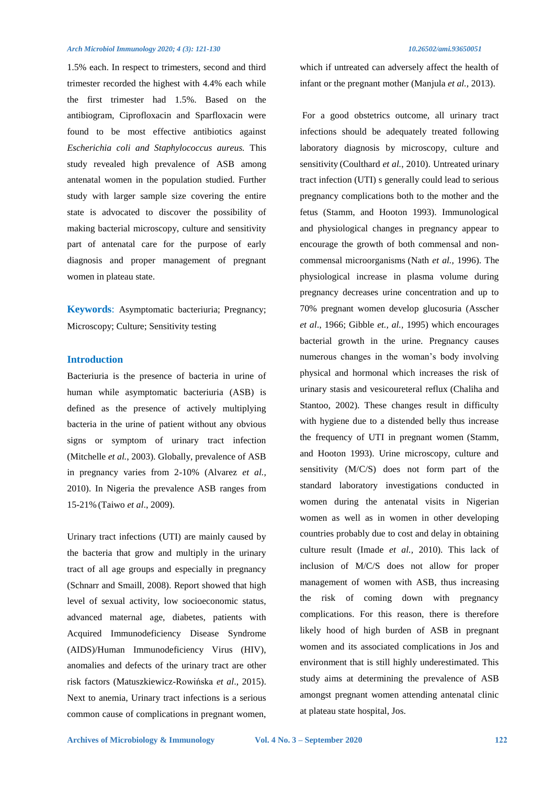### *Arch Microbiol Immunology 2020; 4 (3): 121-130* 10.26502/ami.93650051 **10.26502/ami.93650051**

1.5% each. In respect to trimesters, second and third trimester recorded the highest with 4.4% each while the first trimester had 1.5%. Based on the antibiogram, Ciprofloxacin and Sparfloxacin were found to be most effective antibiotics against *Escherichia coli and Staphylococcus aureus.* This study revealed high prevalence of ASB among antenatal women in the population studied. Further study with larger sample size covering the entire state is advocated to discover the possibility of making bacterial microscopy, culture and sensitivity part of antenatal care for the purpose of early diagnosis and proper management of pregnant women in plateau state.

**Keywords**: Asymptomatic bacteriuria; Pregnancy; Microscopy; Culture; Sensitivity testing

## **Introduction**

Bacteriuria is the presence of bacteria in urine of human while asymptomatic bacteriuria (ASB) is defined as the presence of actively multiplying bacteria in the urine of patient without any obvious signs or symptom of urinary tract infection (Mitchelle *et al.*, 2003). Globally, prevalence of ASB in pregnancy varies from 2-10% (Alvarez *et al.,* 2010). In Nigeria the prevalence ASB ranges from 15-21% (Taiwo *et al*., 2009).

Urinary tract infections (UTI) are mainly caused by the bacteria that grow and multiply in the urinary tract of all age groups and especially in pregnancy (Schnarr and Smaill, 2008). Report showed that high level of sexual activity, low socioeconomic status, advanced maternal age, diabetes, patients with Acquired Immunodeficiency Disease Syndrome (AIDS)/Human Immunodeficiency Virus (HIV), anomalies and defects of the urinary tract are other risk factors (Matuszkiewicz-Rowińska *et al*., 2015). Next to anemia, Urinary tract infections is a serious common cause of complications in pregnant women,

which if untreated can adversely affect the health of infant or the pregnant mother (Manjula *et al.,* 2013).

For a good obstetrics outcome, all urinary tract infections should be adequately treated following laboratory diagnosis by microscopy, culture and sensitivity (Coulthard *et al.*, 2010). Untreated urinary tract infection (UTI) s generally could lead to serious pregnancy complications both to the mother and the fetus (Stamm, and Hooton 1993). Immunological and physiological changes in pregnancy appear to encourage the growth of both commensal and noncommensal microorganisms (Nath *et al.,* 1996). The physiological increase in plasma volume during pregnancy decreases urine concentration and up to 70% pregnant women develop glucosuria (Asscher *et al*., 1966; Gibble *et., al.,* 1995) which encourages bacterial growth in the urine. Pregnancy causes numerous changes in the woman's body involving physical and hormonal which increases the risk of urinary stasis and vesicoureteral reflux (Chaliha and Stantoo, 2002). These changes result in difficulty with hygiene due to a distended belly thus increase the frequency of UTI in pregnant women (Stamm, and Hooton 1993). Urine microscopy, culture and sensitivity (M/C/S) does not form part of the standard laboratory investigations conducted in women during the antenatal visits in Nigerian women as well as in women in other developing countries probably due to cost and delay in obtaining culture result (Imade *et al.,* 2010). This lack of inclusion of M/C/S does not allow for proper management of women with ASB, thus increasing the risk of coming down with pregnancy complications. For this reason, there is therefore likely hood of high burden of ASB in pregnant women and its associated complications in Jos and environment that is still highly underestimated. This study aims at determining the prevalence of ASB amongst pregnant women attending antenatal clinic at plateau state hospital, Jos.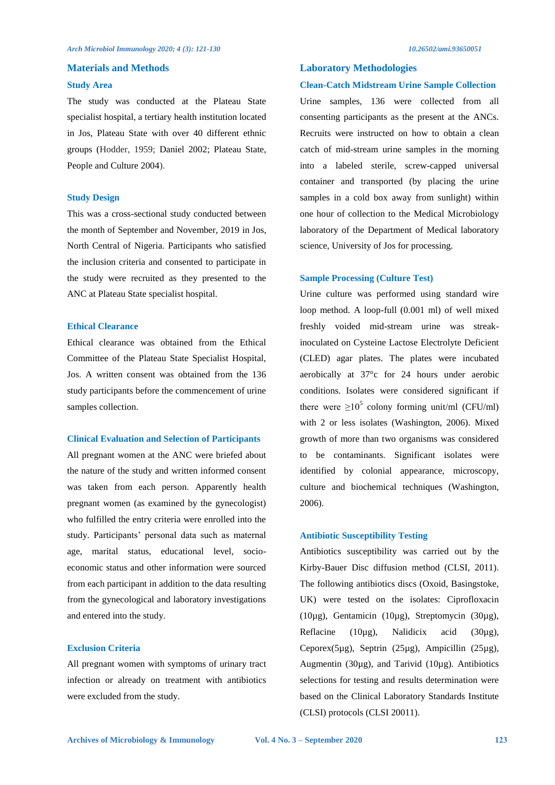## **Materials and Methods**

### **Study Area**

The study was conducted at the Plateau State specialist hospital, a tertiary health institution located in Jos, Plateau State with over 40 different ethnic groups (Hodder, 1959; Daniel 2002; Plateau State, People and Culture 2004).

### **Study Design**

This was a cross-sectional study conducted between the month of September and November, 2019 in Jos, North Central of Nigeria. Participants who satisfied the inclusion criteria and consented to participate in the study were recruited as they presented to the ANC at Plateau State specialist hospital.

## **Ethical Clearance**

Ethical clearance was obtained from the Ethical Committee of the Plateau State Specialist Hospital, Jos. A written consent was obtained from the 136 study participants before the commencement of urine samples collection.

### **Clinical Evaluation and Selection of Participants**

All pregnant women at the ANC were briefed about the nature of the study and written informed consent was taken from each person. Apparently health pregnant women (as examined by the gynecologist) who fulfilled the entry criteria were enrolled into the study. Participants' personal data such as maternal age, marital status, educational level, socioeconomic status and other information were sourced from each participant in addition to the data resulting from the gynecological and laboratory investigations and entered into the study.

### **Exclusion Criteria**

All pregnant women with symptoms of urinary tract infection or already on treatment with antibiotics were excluded from the study.

## **Laboratory Methodologies**

### **Clean-Catch Midstream Urine Sample Collection**

Urine samples, 136 were collected from all consenting participants as the present at the ANCs. Recruits were instructed on how to obtain a clean catch of mid-stream urine samples in the morning into a labeled sterile, screw-capped universal container and transported (by placing the urine samples in a cold box away from sunlight) within one hour of collection to the Medical Microbiology laboratory of the Department of Medical laboratory science, University of Jos for processing.

### **Sample Processing (Culture Test)**

Urine culture was performed using standard wire loop method. A loop-full (0.001 ml) of well mixed freshly voided mid-stream urine was streakinoculated on Cysteine Lactose Electrolyte Deficient (CLED) agar plates. The plates were incubated aerobically at 37°c for 24 hours under aerobic conditions. Isolates were considered significant if there were  $\geq 10^5$  colony forming unit/ml (CFU/ml) with 2 or less isolates (Washington, 2006). Mixed growth of more than two organisms was considered to be contaminants. Significant isolates were identified by colonial appearance, microscopy, culture and biochemical techniques (Washington, 2006).

## **Antibiotic Susceptibility Testing**

Antibiotics susceptibility was carried out by the Kirby-Bauer Disc diffusion method (CLSI, 2011). The following antibiotics discs (Oxoid, Basingstoke, UK) were tested on the isolates: Ciprofloxacin (10µg), Gentamicin (10µg), Streptomycin (30µg), Reflacine (10µg), Nalidicix acid (30µg), Ceporex(5µg), Septrin (25µg), Ampicillin (25µg), Augmentin (30µg), and Tarivid (10µg). Antibiotics selections for testing and results determination were based on the Clinical Laboratory Standards Institute (CLSI) protocols (CLSI 20011).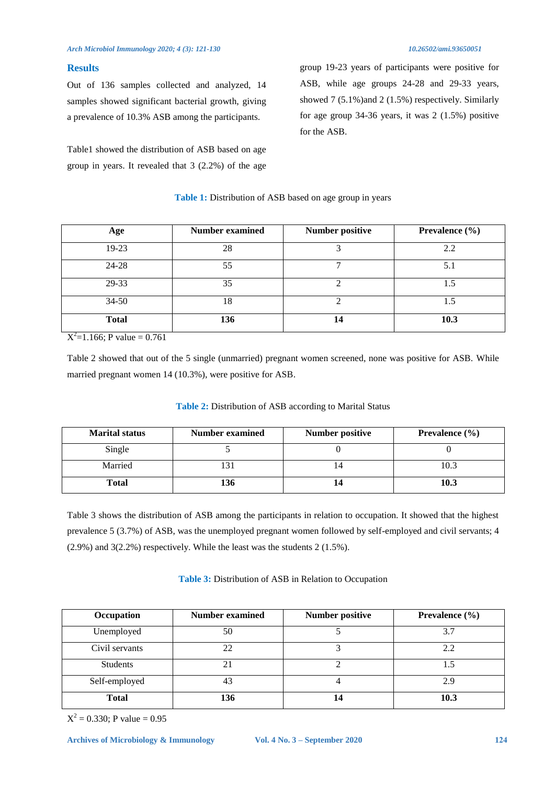# **Results**

Out of 136 samples collected and analyzed, 14 samples showed significant bacterial growth, giving a prevalence of 10.3% ASB among the participants.

Table1 showed the distribution of ASB based on age group in years. It revealed that 3 (2.2%) of the age group 19-23 years of participants were positive for ASB, while age groups 24-28 and 29-33 years, showed 7 (5.1%) and 2 (1.5%) respectively. Similarly for age group 34-36 years, it was 2 (1.5%) positive for the ASB.

| Age                            | <b>Number examined</b> | <b>Number positive</b> | Prevalence $(\% )$ |
|--------------------------------|------------------------|------------------------|--------------------|
| $19-23$                        | 28                     | 3                      | 2.2                |
| 24-28                          | 55                     |                        | 5.1                |
| 29-33                          | 35                     | ◠                      | 1.5                |
| $34 - 50$                      | 18                     | $\mathfrak{D}$         | 1.5                |
| <b>Total</b><br>$\overline{ }$ | 136                    | 14                     | 10.3               |

## **Table 1:** Distribution of ASB based on age group in years

 $X^2$ =1.166; P value = 0.761

Table 2 showed that out of the 5 single (unmarried) pregnant women screened, none was positive for ASB. While married pregnant women 14 (10.3%), were positive for ASB.

| <b>Marital status</b> | Number examined | <b>Number positive</b> | Prevalence $(\% )$ |
|-----------------------|-----------------|------------------------|--------------------|
| Single                |                 |                        |                    |
| Married               |                 | 14                     | 10.3               |
| Total                 | 136             |                        | 10.3               |

# **Table 2:** Distribution of ASB according to Marital Status

Table 3 shows the distribution of ASB among the participants in relation to occupation. It showed that the highest prevalence 5 (3.7%) of ASB, was the unemployed pregnant women followed by self-employed and civil servants; 4 (2.9%) and 3(2.2%) respectively. While the least was the students 2 (1.5%).

# **Table 3:** Distribution of ASB in Relation to Occupation

| Occupation      | <b>Number examined</b> | <b>Number positive</b> | <b>Prevalence</b> $(\% )$ |
|-----------------|------------------------|------------------------|---------------------------|
| Unemployed      | 50                     |                        | 3.7                       |
| Civil servants  | 22                     |                        | 2.2                       |
| <b>Students</b> | 21                     |                        |                           |
| Self-employed   | 43                     |                        |                           |
| <b>Total</b>    | 136                    | 14                     | 10.3                      |

 $X^2 = 0.330$ ; P value = 0.95

**Archives of Microbiology & Immunology Vol. 4 No. 3 – September 2020 124**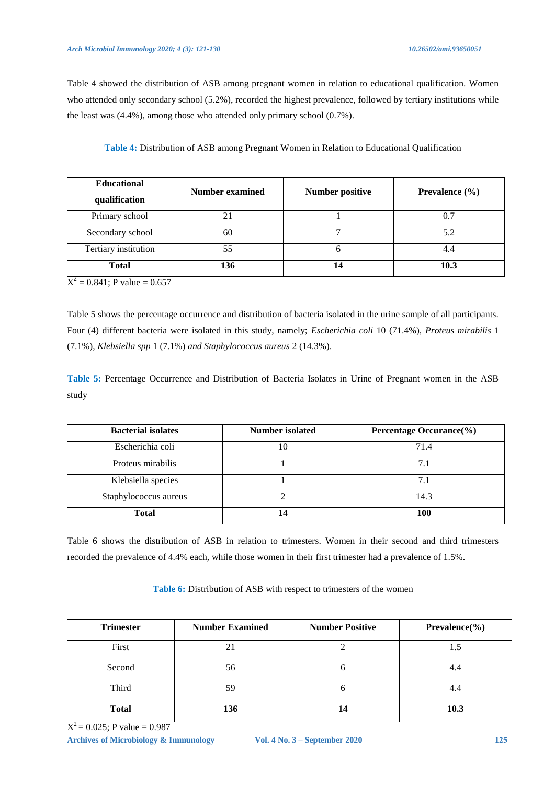Table 4 showed the distribution of ASB among pregnant women in relation to educational qualification. Women who attended only secondary school (5.2%), recorded the highest prevalence, followed by tertiary institutions while the least was (4.4%), among those who attended only primary school (0.7%).

**Table 4:** Distribution of ASB among Pregnant Women in Relation to Educational Qualification

| <b>Educational</b><br>qualification | <b>Number examined</b> | <b>Number positive</b> | Prevalence $(\% )$ |  |  |
|-------------------------------------|------------------------|------------------------|--------------------|--|--|
| Primary school                      |                        |                        |                    |  |  |
| Secondary school                    | 60                     |                        | 5.2                |  |  |
| Tertiary institution                | 55                     |                        |                    |  |  |
| <b>Total</b>                        | 136                    | 14                     | 10.3               |  |  |

 $X^2 = 0.841$ ; P value = 0.657

Table 5 shows the percentage occurrence and distribution of bacteria isolated in the urine sample of all participants. Four (4) different bacteria were isolated in this study, namely; *Escherichia coli* 10 (71.4%), *Proteus mirabilis* 1 (7.1%), *Klebsiella spp* 1 (7.1%) *and Staphylococcus aureus* 2 (14.3%).

**Table 5:** Percentage Occurrence and Distribution of Bacteria Isolates in Urine of Pregnant women in the ASB study

| <b>Bacterial isolates</b> | Number isolated | Percentage Occurance(%) |
|---------------------------|-----------------|-------------------------|
| Escherichia coli          |                 | 71.4                    |
| Proteus mirabilis         |                 |                         |
| Klebsiella species        |                 |                         |
| Staphylococcus aureus     |                 | 14.3                    |
| <b>Total</b>              |                 | 100                     |

Table 6 shows the distribution of ASB in relation to trimesters. Women in their second and third trimesters recorded the prevalence of 4.4% each, while those women in their first trimester had a prevalence of 1.5%.

| <b>Trimester</b> | <b>Number Examined</b> | <b>Number Positive</b> | $Prevalence (\%)$ |  |
|------------------|------------------------|------------------------|-------------------|--|
| First            | 21                     |                        |                   |  |
| Second           | 56                     | O                      | 4.4               |  |
| Third            | 59                     | O                      | 4.4               |  |
| <b>Total</b>     | 136                    | 14                     | 10.3              |  |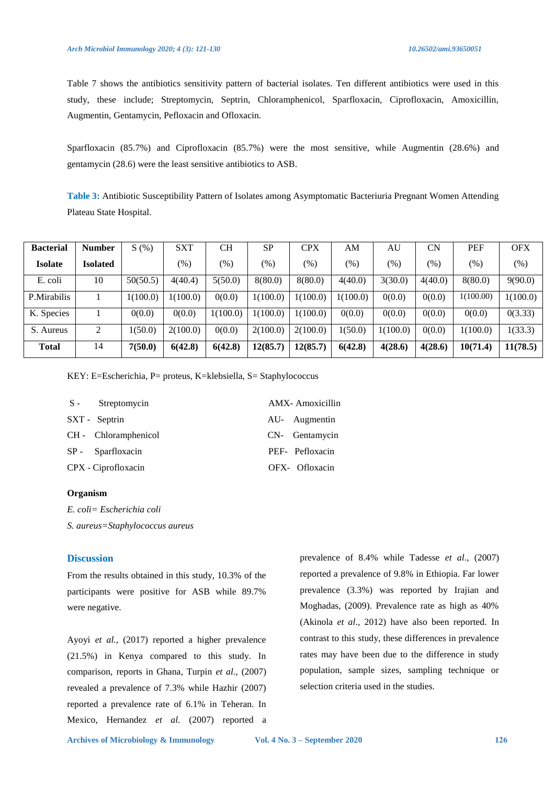Table 7 shows the antibiotics sensitivity pattern of bacterial isolates. Ten different antibiotics were used in this study, these include; Streptomycin, Septrin, Chloramphenicol, Sparfloxacin, Ciprofloxacin, Amoxicillin, Augmentin, Gentamycin, Pefloxacin and Ofloxacin.

Sparfloxacin (85.7%) and Ciprofloxacin (85.7%) were the most sensitive, while Augmentin (28.6%) and gentamycin (28.6) were the least sensitive antibiotics to ASB.

**Table 3:** Antibiotic Susceptibility Pattern of Isolates among Asymptomatic Bacteriuria Pregnant Women Attending Plateau State Hospital.

| <b>Bacterial</b> | <b>Number</b>   | S(%)     | <b>SXT</b> | <b>CH</b> | <b>SP</b>           | <b>CPX</b> | AΜ       | AU       | CN      | <b>PEF</b> | <b>OFX</b> |
|------------------|-----------------|----------|------------|-----------|---------------------|------------|----------|----------|---------|------------|------------|
| <b>Isolate</b>   | <b>Isolated</b> |          | $(\%)$     | $(\%)$    | $\left( \% \right)$ | $(\%)$     | $(\%)$   | $(\%)$   | $(\%)$  | $(\%)$     | (%)        |
| E. coli          | 10              | 50(50.5) | 4(40.4)    | 5(50.0)   | 8(80.0)             | 8(80.0)    | 4(40.0)  | 3(30.0)  | 4(40.0) | 8(80.0)    | 9(90.0)    |
| P.Mirabilis      |                 | 1(100.0) | 1(100.0)   | 0(0.0)    | 1(100.0)            | 1(100.0)   | 1(100.0) | 0(0.0)   | 0(0.0)  | 1(100.00)  | 1(100.0)   |
| K. Species       |                 | 0(0.0)   | 0(0.0)     | 1(100.0)  | 1(100.0)            | 1(100.0)   | 0(0.0)   | 0(0.0)   | 0(0.0)  | 0(0.0)     | 0(3.33)    |
| S. Aureus        | 2               | 1(50.0)  | 2(100.0)   | 0(0.0)    | 2(100.0)            | 2(100.0)   | 1(50.0)  | 1(100.0) | 0(0.0)  | 1(100.0)   | 1(33.3)    |
| <b>Total</b>     | 14              | 7(50.0)  | 6(42.8)    | 6(42.8)   | 12(85.7)            | 12(85.7)   | 6(42.8)  | 4(28.6)  | 4(28.6) | 10(71.4)   | 11(78.5)   |

KEY: E=Escherichia, P= proteus, K=klebsiella, S= Staphylococcus

| S - Streptomycin     | AMX-Amoxicillin |
|----------------------|-----------------|
| SXT - Septrin        | AU- Augmentin   |
| CH - Chloramphenicol | CN- Gentamycin  |
| SP - Sparfloxacin    | PEF- Pefloxacin |
| CPX - Ciprofloxacin  | OFX- Ofloxacin  |

## **Organism**

*E. coli= Escherichia coli* 

*S. aureus=Staphylococcus aureus* 

# **Discussion**

From the results obtained in this study, 10.3% of the participants were positive for ASB while 89.7% were negative.

Ayoyi *et al.*, (2017) reported a higher prevalence (21.5%) in Kenya compared to this study. In comparison, reports in Ghana, Turpin *et al.,* (2007) revealed a prevalence of 7.3% while Hazhir (2007) reported a prevalence rate of 6.1% in Teheran. In Mexico, Hernandez *et al.* (2007) reported a prevalence of 8.4% while Tadesse *et al*., (2007) reported a prevalence of 9.8% in Ethiopia. Far lower prevalence (3.3%) was reported by Irajian and Moghadas, (2009). Prevalence rate as high as 40% (Akinola *et al*., 2012) have also been reported. In contrast to this study, these differences in prevalence rates may have been due to the difference in study population, sample sizes, sampling technique or selection criteria used in the studies.

**Archives of Microbiology & Immunology Vol. 4 No. 3 – September 2020 126**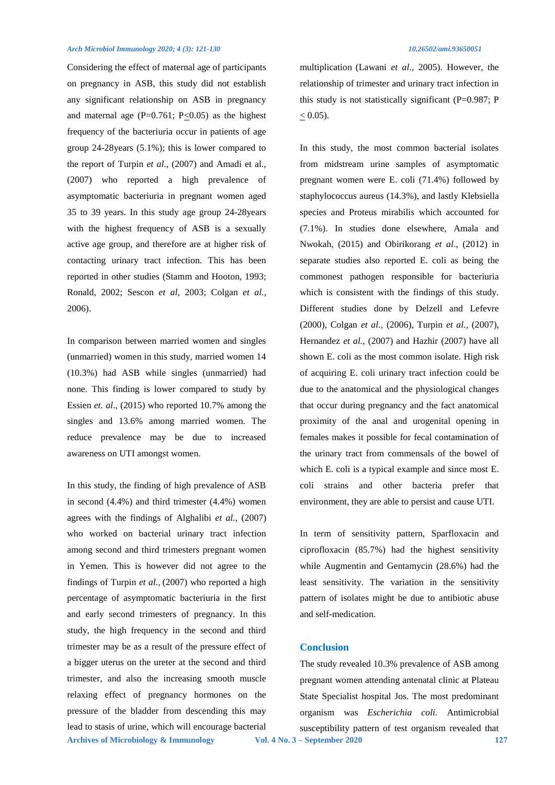### *Arch Microbiol Immunology 2020; 4 (3): 121-130* 10.26502/ami.93650051 **10.26502/ami.93650051**

Considering the effect of maternal age of participants on pregnancy in ASB, this study did not establish any significant relationship on ASB in pregnancy and maternal age (P=0.761; P $\leq$ 0.05) as the highest frequency of the bacteriuria occur in patients of age group 24-28years (5.1%); this is lower compared to the report of Turpin *et al*., (2007) and Amadi et al., (2007) who reported a high prevalence of asymptomatic bacteriuria in pregnant women aged 35 to 39 years. In this study age group 24-28years with the highest frequency of ASB is a sexually active age group, and therefore are at higher risk of contacting urinary tract infection. This has been reported in other studies (Stamm and Hooton, 1993; Ronald, 2002; Sescon *et al,* 2003; Colgan *et al.,* 2006).

In comparison between married women and singles (unmarried) women in this study, married women 14 (10.3%) had ASB while singles (unmarried) had none. This finding is lower compared to study by Essien *et. al*., (2015) who reported 10.7% among the singles and 13.6% among married women. The reduce prevalence may be due to increased awareness on UTI amongst women.

**Archives of Microbiology & Immunology Vol. 4 No. 3 – September 2020 127** In this study, the finding of high prevalence of ASB in second (4.4%) and third trimester (4.4%) women agrees with the findings of Alghalibi *et al.*, (2007) who worked on bacterial urinary tract infection among second and third trimesters pregnant women in Yemen. This is however did not agree to the findings of Turpin *et al.,* (2007) who reported a high percentage of asymptomatic bacteriuria in the first and early second trimesters of pregnancy. In this study, the high frequency in the second and third trimester may be as a result of the pressure effect of a bigger uterus on the ureter at the second and third trimester, and also the increasing smooth muscle relaxing effect of pregnancy hormones on the pressure of the bladder from descending this may lead to stasis of urine, which will encourage bacterial

multiplication (Lawani *et al*., 2005). However, the relationship of trimester and urinary tract infection in this study is not statistically significant  $(P=0.987; P)$  $\leq 0.05$ ).

In this study, the most common bacterial isolates from midstream urine samples of asymptomatic pregnant women were E. coli (71.4%) followed by staphylococcus aureus (14.3%), and lastly Klebsiella species and Proteus mirabilis which accounted for (7.1%). In studies done elsewhere, Amala and Nwokah, (2015) and Obirikorang *et al*., (2012) in separate studies also reported E. coli as being the commonest pathogen responsible for bacteriuria which is consistent with the findings of this study. Different studies done by Delzell and Lefevre (2000), Colgan *et al.,* (2006), Turpin *et al.,* (2007), Hernandez *et al.,* (2007) and Hazhir (2007) have all shown E. coli as the most common isolate. High risk of acquiring E. coli urinary tract infection could be due to the anatomical and the physiological changes that occur during pregnancy and the fact anatomical proximity of the anal and urogenital opening in females makes it possible for fecal contamination of the urinary tract from commensals of the bowel of which E. coli is a typical example and since most E. coli strains and other bacteria prefer that environment, they are able to persist and cause UTI.

In term of sensitivity pattern, Sparfloxacin and ciprofloxacin (85.7%) had the highest sensitivity while Augmentin and Gentamycin (28.6%) had the least sensitivity. The variation in the sensitivity pattern of isolates might be due to antibiotic abuse and self-medication.

# **Conclusion**

The study revealed 10.3% prevalence of ASB among pregnant women attending antenatal clinic at Plateau State Specialist hospital Jos. The most predominant organism was *Escherichia coli.* Antimicrobial susceptibility pattern of test organism revealed that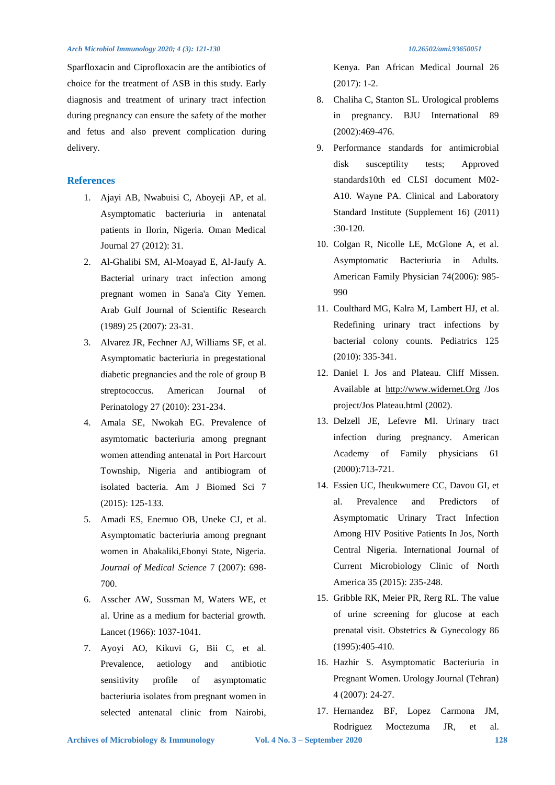### *Arch Microbiol Immunology 2020; 4 (3): 121-130* 10.26502/ami.93650051 **10.26502/ami.93650051**

Sparfloxacin and Ciprofloxacin are the antibiotics of choice for the treatment of ASB in this study. Early diagnosis and treatment of urinary tract infection during pregnancy can ensure the safety of the mother and fetus and also prevent complication during delivery.

# **References**

- 1. Ajayi AB, Nwabuisi C, Aboyeji AP, et al. Asymptomatic bacteriuria in antenatal patients in Ilorin, Nigeria. Oman Medical Journal 27 (2012): 31.
- 2. Al-Ghalibi SM, Al-Moayad E, Al-Jaufy A. Bacterial urinary tract infection among pregnant women in Sana'a City Yemen. Arab Gulf Journal of Scientific Research (1989) 25 (2007): 23-31.
- 3. Alvarez JR, Fechner AJ, Williams SF, et al. Asymptomatic bacteriuria in pregestational diabetic pregnancies and the role of group B streptococcus. American Journal of Perinatology 27 (2010): 231-234.
- 4. Amala SE, Nwokah EG. Prevalence of asymtomatic bacteriuria among pregnant women attending antenatal in Port Harcourt Township, Nigeria and antibiogram of isolated bacteria. Am J Biomed Sci 7 (2015): 125-133.
- 5. Amadi ES, Enemuo OB, Uneke CJ, et al. Asymptomatic bacteriuria among pregnant women in Abakaliki,Ebonyi State, Nigeria. *Journal of Medical Science* 7 (2007): 698- 700.
- 6. Asscher AW, Sussman M, Waters WE, et al. Urine as a medium for bacterial growth. Lancet (1966): 1037-1041.
- 7. Ayoyi AO, Kikuvi G, Bii C, et al. Prevalence, aetiology and antibiotic sensitivity profile of asymptomatic bacteriuria isolates from pregnant women in selected antenatal clinic from Nairobi,

Kenya. Pan African Medical Journal 26 (2017): 1-2.

- 8. Chaliha C, Stanton SL. Urological problems in pregnancy. BJU International 89 (2002):469-476.
- 9. Performance standards for antimicrobial disk susceptility tests; Approved standards10th ed CLSI document M02- A10. Wayne PA. Clinical and Laboratory Standard Institute (Supplement 16) (2011) :30-120.
- 10. Colgan R, Nicolle LE, McGlone A, et al. Asymptomatic Bacteriuria in Adults. American Family Physician 74(2006): 985- 990
- 11. Coulthard MG, Kalra M, Lambert HJ, et al. Redefining urinary tract infections by bacterial colony counts. Pediatrics 125 (2010): 335-341.
- 12. Daniel I. Jos and Plateau. Cliff Missen. Available at [http://www.widernet.Org](http://www.widernet.org/) /Jos project/Jos Plateau.html (2002).
- 13. Delzell JE, Lefevre MI. Urinary tract infection during pregnancy. American Academy of Family physicians 61 (2000):713-721.
- 14. Essien UC, Iheukwumere CC, Davou GI, et al. Prevalence and Predictors of Asymptomatic Urinary Tract Infection Among HIV Positive Patients In Jos, North Central Nigeria. International Journal of Current Microbiology Clinic of North America 35 (2015): 235-248.
- 15. Gribble RK, Meier PR, Rerg RL. The value of urine screening for glucose at each prenatal visit. Obstetrics & Gynecology 86 (1995):405-410.
- 16. Hazhir S. Asymptomatic Bacteriuria in Pregnant Women. Urology Journal (Tehran) 4 (2007): 24-27.
- 17. Hernandez BF, Lopez Carmona JM, Rodriguez Moctezuma JR, et al.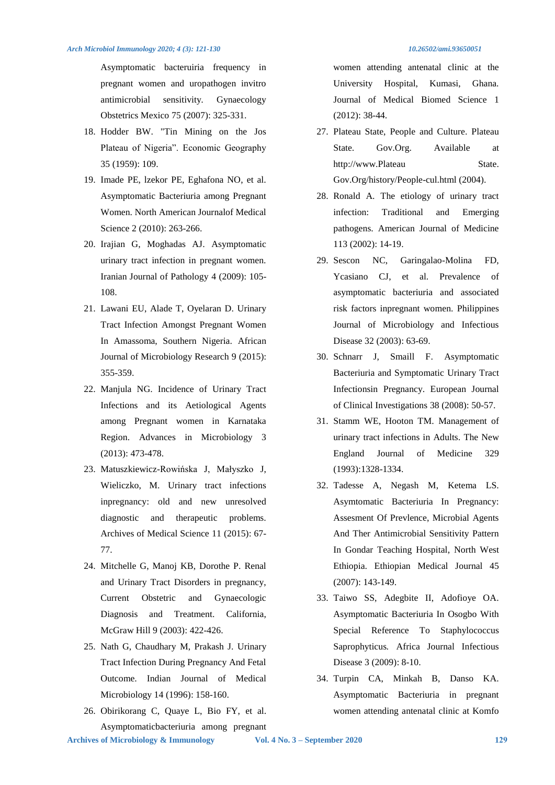Asymptomatic bacteruiria frequency in pregnant women and uropathogen invitro antimicrobial sensitivity*.* Gynaecology Obstetrics Mexico 75 (2007): 325-331.

- 18. Hodder BW. "Tin Mining on the Jos Plateau of Nigeria". Economic Geography 35 (1959): 109.
- 19. Imade PE, lzekor PE, Eghafona NO, et al. Asymptomatic Bacteriuria among Pregnant Women. North American Journalof Medical Science 2 (2010): 263-266.
- 20. Irajian G, Moghadas AJ. Asymptomatic urinary tract infection in pregnant women. Iranian Journal of Pathology 4 (2009): 105- 108.
- 21. Lawani EU, Alade T, Oyelaran D. Urinary Tract Infection Amongst Pregnant Women In Amassoma, Southern Nigeria. African Journal of Microbiology Research 9 (2015): 355-359.
- 22. Manjula NG. Incidence of Urinary Tract Infections and its Aetiological Agents among Pregnant women in Karnataka Region. Advances in Microbiology 3 (2013): 473-478.
- 23. Matuszkiewicz-Rowińska J, Małyszko J, Wieliczko, M. Urinary tract infections inpregnancy: old and new unresolved diagnostic and therapeutic problems. Archives of Medical Science 11 (2015): 67- 77.
- 24. Mitchelle G, Manoj KB, Dorothe P. Renal and Urinary Tract Disorders in pregnancy, Current Obstetric and Gynaecologic Diagnosis and Treatment. California, McGraw Hill 9 (2003): 422-426.
- 25. Nath G, Chaudhary M, Prakash J. Urinary Tract Infection During Pregnancy And Fetal Outcome. Indian Journal of Medical Microbiology 14 (1996): 158-160.
- 26. Obirikorang C, Quaye L, Bio FY, et al. Asymptomaticbacteriuria among pregnant

women attending antenatal clinic at the University Hospital, Kumasi, Ghana. Journal of Medical Biomed Science 1 (2012): 38-44.

- 27. Plateau State, People and Culture. Plateau State. Gov.Org. Available at http://www.Plateau State. Gov.Org/history/People-cul.html (2004).
- 28. Ronald A. The etiology of urinary tract infection: Traditional and Emerging pathogens. American Journal of Medicine 113 (2002): 14-19.
- 29. Sescon NC, Garingalao-Molina FD, Ycasiano CJ, et al. Prevalence of asymptomatic bacteriuria and associated risk factors inpregnant women. Philippines Journal of Microbiology and Infectious Disease 32 (2003): 63-69.
- 30. Schnarr J, Smaill F. Asymptomatic Bacteriuria and Symptomatic Urinary Tract Infectionsin Pregnancy. European Journal of Clinical Investigations 38 (2008): 50-57.
- 31. Stamm WE, Hooton TM. Management of urinary tract infections in Adults. The New England Journal of Medicine 329 (1993):1328-1334.
- 32. Tadesse A, Negash M, Ketema LS. Asymtomatic Bacteriuria In Pregnancy: Assesment Of Prevlence, Microbial Agents And Ther Antimicrobial Sensitivity Pattern In Gondar Teaching Hospital, North West Ethiopia. Ethiopian Medical Journal 45 (2007): 143-149.
- 33. Taiwo SS, Adegbite II, Adofioye OA. Asymptomatic Bacteriuria In Osogbo With Special Reference To Staphylococcus Saprophyticus*.* Africa Journal Infectious Disease 3 (2009): 8-10.
- 34. Turpin CA, Minkah B, Danso KA. Asymptomatic Bacteriuria in pregnant women attending antenatal clinic at Komfo